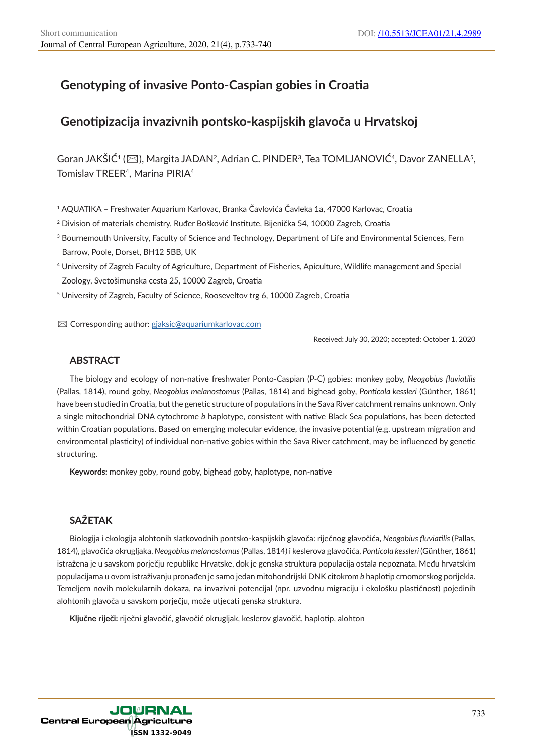# **Genotyping of invasive Ponto-Caspian gobies in Croatia**

# **Genotipizacija invazivnih pontsko-kaspijskih glavoča u Hrvatskoj**

Goran JAKŠIĆ<sup>1</sup> ( $\boxtimes$ ), Margita JADAN<sup>2</sup>, Adrian C. PINDER<sup>3</sup>, Tea TOMLJANOVIĆ<sup>4</sup>, Davor ZANELLA<sup>5</sup>, Tomislav TREER<sup>4</sup>, Marina PIRIA<sup>4</sup>

<sup>1</sup> AQUATIKA – Freshwater Aquarium Karlovac, Branka Čavlovića Čavleka 1a, 47000 Karlovac, Croatia

- <sup>2</sup> Division of materials chemistry, Ruđer Bošković Institute, Bijenička 54, 10000 Zagreb, Croatia
- 3 Bournemouth University, Faculty of Science and Technology, Department of Life and Environmental Sciences, Fern Barrow, Poole, Dorset, BH12 5BB, UK
- <sup>4</sup> University of Zagreb Faculty of Agriculture, Department of Fisheries, Apiculture, Wildlife management and Special Zoology, Svetošimunska cesta 25, 10000 Zagreb, Croatia

<sup>5</sup> University of Zagreb, Faculty of Science, Rooseveltov trg 6, 10000 Zagreb, Croatia

✉ Corresponding author: gjaksic@aquariumkarlovac.com

Received: July 30, 2020; accepted: October 1, 2020

## **ABSTRACT**

The biology and ecology of non-native freshwater Ponto-Caspian (P-C) gobies: monkey goby, *Neogobius fluviatilis* (Pallas, 1814), round goby, *Neogobius melanostomus* (Pallas, 1814) and bighead goby, *Ponticola kessleri* (Günther, 1861) have been studied in Croatia, but the genetic structure of populations in the Sava River catchment remains unknown. Only a single mitochondrial DNA cytochrome *b* haplotype, consistent with native Black Sea populations, has been detected within Croatian populations. Based on emerging molecular evidence, the invasive potential (e.g. upstream migration and environmental plasticity) of individual non-native gobies within the Sava River catchment, may be influenced by genetic structuring.

**Keywords:** monkey goby, round goby, bighead goby, haplotype, non-native

# **SAŽETAK**

Biologija i ekologija alohtonih slatkovodnih pontsko-kaspijskih glavoča: riječnog glavočića, *Neogobius fluviatilis* (Pallas, 1814), glavočića okrugljaka, *Neogobius melanostomus* (Pallas, 1814) i keslerova glavočića, *Ponticola kessleri* (Günther, 1861) istražena je u savskom porječju republike Hrvatske, dok je genska struktura populacija ostala nepoznata. Među hrvatskim populacijama u ovom istraživanju pronađen je samo jedan mitohondrijski DNK citokrom *b* haplotip crnomorskog porijekla. Temeljem novih molekularnih dokaza, na invazivni potencijal (npr. uzvodnu migraciju i ekološku plastičnost) pojedinih alohtonih glavoča u savskom porječju, može utjecati genska struktura.

**Ključne riječi:** riječni glavočić, glavočić okrugljak, keslerov glavočić, haplotip, alohton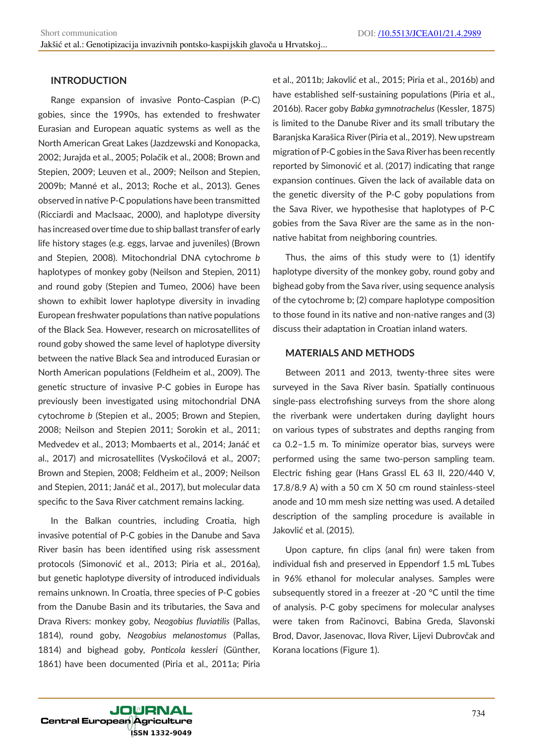## **INTRODUCTION**

Range expansion of invasive Ponto-Caspian (P-C) gobies, since the 1990s, has extended to freshwater Eurasian and European aquatic systems as well as the North American Great Lakes (Jazdzewski and Konopacka, 2002; Jurajda et al., 2005; Polačik et al., 2008; Brown and Stepien, 2009; Leuven et al., 2009; Neilson and Stepien, 2009b; Manné et al., 2013; Roche et al., 2013). Genes observed in native P-C populations have been transmitted (Ricciardi and MacIsaac, 2000), and haplotype diversity has increased over time due to ship ballast transfer of early life history stages (e.g. eggs, larvae and juveniles) (Brown and Stepien, 2008). Mitochondrial DNA cytochrome *b* haplotypes of monkey goby (Neilson and Stepien, 2011) and round goby (Stepien and Tumeo, 2006) have been shown to exhibit lower haplotype diversity in invading European freshwater populations than native populations of the Black Sea. However, research on microsatellites of round goby showed the same level of haplotype diversity between the native Black Sea and introduced Eurasian or North American populations (Feldheim et al., 2009). The genetic structure of invasive P-C gobies in Europe has previously been investigated using mitochondrial DNA cytochrome *b* (Stepien et al., 2005; Brown and Stepien, 2008; Neilson and Stepien 2011; Sorokin et al., 2011; Medvedev et al., 2013; Mombaerts et al., 2014; Janáč et al., 2017) and microsatellites (Vyskočilová et al., 2007; Brown and Stepien, 2008; Feldheim et al., 2009; Neilson and Stepien, 2011; Janáč et al., 2017), but molecular data specific to the Sava River catchment remains lacking.

In the Balkan countries, including Croatia, high invasive potential of P-C gobies in the Danube and Sava River basin has been identified using risk assessment protocols (Simonović et al., 2013; Piria et al., 2016a), but genetic haplotype diversity of introduced individuals remains unknown. In Croatia, three species of P-C gobies from the Danube Basin and its tributaries, the Sava and Drava Rivers: monkey goby, *Neogobius fluviatilis* (Pallas, 1814), round goby, *Neogobius melanostomus* (Pallas, 1814) and bighead goby, *Ponticola kessleri* (Günther, 1861) have been documented (Piria et al., 2011a; Piria

et al., 2011b; Jakovlić et al., 2015; Piria et al., 2016b) and have established self-sustaining populations (Piria et al., 2016b). Racer goby *Babka gymnotrachelus* (Kessler, 1875) is limited to the Danube River and its small tributary the Baranjska Karašica River (Piria et al., 2019). New upstream migration of P-C gobies in the Sava River has been recently reported by Simonović et al. (2017) indicating that range expansion continues. Given the lack of available data on the genetic diversity of the P-C goby populations from the Sava River, we hypothesise that haplotypes of P-C gobies from the Sava River are the same as in the nonnative habitat from neighboring countries.

Thus, the aims of this study were to (1) identify haplotype diversity of the monkey goby, round goby and bighead goby from the Sava river, using sequence analysis of the cytochrome b; (2) compare haplotype composition to those found in its native and non-native ranges and (3) discuss their adaptation in Croatian inland waters.

## **MATERIALS AND METHODS**

Between 2011 and 2013, twenty-three sites were surveyed in the Sava River basin. Spatially continuous single-pass electrofishing surveys from the shore along the riverbank were undertaken during daylight hours on various types of substrates and depths ranging from ca 0.2–1.5 m. To minimize operator bias, surveys were performed using the same two-person sampling team. Electric fishing gear (Hans Grassl EL 63 II, 220/440 V, 17.8/8.9 A) with a 50 cm X 50 cm round stainless-steel anode and 10 mm mesh size netting was used. A detailed description of the sampling procedure is available in Jakovlić et al. (2015).

Upon capture, fin clips (anal fin) were taken from individual fish and preserved in Eppendorf 1.5 mL Tubes in 96% ethanol for molecular analyses. Samples were subsequently stored in a freezer at -20 °C until the time of analysis. P-C goby specimens for molecular analyses were taken from Račinovci, Babina Greda, Slavonski Brod, Davor, Jasenovac, Ilova River, Lijevi Dubrovčak and Korana locations (Figure 1).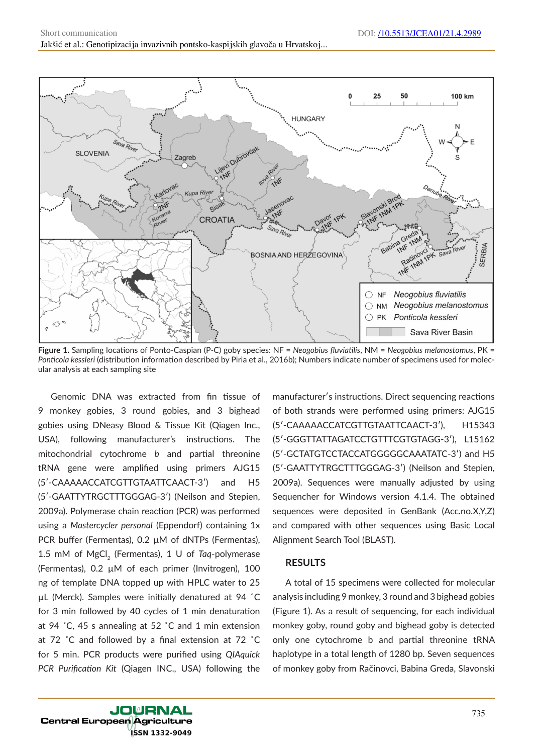

**Figure 1.** Sampling locations of Ponto-Caspian (P-C) goby species: NF = *Neogobius fluviatilis*, NM = *Neogobius melanostomus*, PK = *Ponticola kessleri* (distribution information described by Piria et al., 2016b); Numbers indicate number of specimens used for molecular analysis at each sampling site

Genomic DNA was extracted from fin tissue of 9 monkey gobies, 3 round gobies, and 3 bighead gobies using DNeasy Blood & Tissue Kit (Qiagen Inc., USA), following manufacturer's instructions. The mitochondrial cytochrome *b* and partial threonine tRNA gene were amplified using primers AJG15 (5ʹ-CAAAAACCATCGTTGTAATTCAACT-3ʹ) and H5 (5ʹ-GAATTYTRGCTTTGGGAG-3ʹ) (Neilson and Stepien, 2009a). Polymerase chain reaction (PCR) was performed using a *Mastercycler personal* (Eppendorf) containing 1x PCR buffer (Fermentas), 0.2  $\mu$ M of dNTPs (Fermentas), 1.5 mM of MgCl<sub>2</sub> (Fermentas), 1 U of *Taq-polymerase* (Fermentas), 0.2 µM of each primer (Invitrogen), 100 ng of template DNA topped up with HPLC water to 25 µL (Merck). Samples were initially denatured at 94 ˚C for 3 min followed by 40 cycles of 1 min denaturation at 94 ˚C, 45 s annealing at 52 ˚C and 1 min extension at 72 ˚C and followed by a final extension at 72 ˚C for 5 min. PCR products were purified using *QIAquick PCR Purification Kit* (Qiagen INC., USA) following the

manufacturerʹs instructions. Direct sequencing reactions of both strands were performed using primers: AJG15 (5ʹ-CAAAAACCATCGTTGTAATTCAACT-3ʹ), H15343 (5ʹ-GGGTTATTAGATCCTGTTTCGTGTAGG-3ʹ), L15162 (5ʹ-GCTATGTCCTACCATGGGGGCAAATATC-3ʹ) and H5 (5ʹ-GAATTYTRGCTTTGGGAG-3ʹ) (Neilson and Stepien, 2009a). Sequences were manually adjusted by using Sequencher for Windows version 4.1.4. The obtained sequences were deposited in GenBank (Acc.no.X,Y,Z) and compared with other sequences using Basic Local Alignment Search Tool (BLAST).

#### **RESULTS**

A total of 15 specimens were collected for molecular analysis including 9 monkey, 3 round and 3 bighead gobies (Figure 1). As a result of sequencing, for each individual monkey goby, round goby and bighead goby is detected only one cytochrome b and partial threonine tRNA haplotype in a total length of 1280 bp. Seven sequences of monkey goby from Račinovci, Babina Greda, Slavonski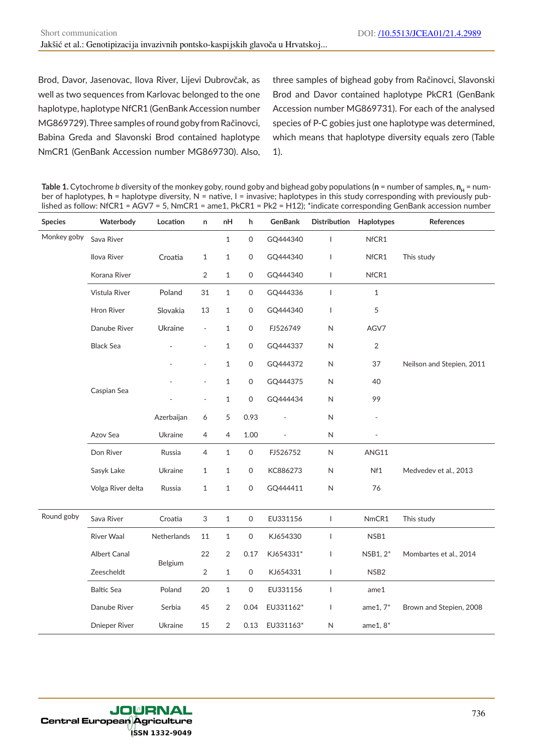Brod, Davor, Jasenovac, Ilova River, Lijevi Dubrovčak, as well as two sequences from Karlovac belonged to the one haplotype, haplotype NfCR1 (GenBank Accession number MG869729). Three samples of round goby from Račinovci, Babina Greda and Slavonski Brod contained haplotype NmCR1 (GenBank Accession number MG869730). Also, three samples of bighead goby from Račinovci, Slavonski Brod and Davor contained haplotype PkCR1 (GenBank Accession number MG869731). For each of the analysed species of P-C gobies just one haplotype was determined, which means that haplotype diversity equals zero (Table 1).

**Table 1.** Cytochrome *b* diversity of the monkey goby, round goby and bighead goby populations (n = number of samples, n<sub>H</sub> = number of haplotypes, **h** = haplotype diversity, N = native, I = invasive; haplotypes in this study corresponding with previously published as follow: NfCR1 = AGV7 = 5, NmCR1 = ame1, PkCR1 = Pk2 = H12); \*indicate corresponding GenBank accession number

| <b>Species</b> | Waterbody            | Location    | n                         | nH             | h                   | GenBank   | <b>Distribution</b>      | Haplotypes               | References                |
|----------------|----------------------|-------------|---------------------------|----------------|---------------------|-----------|--------------------------|--------------------------|---------------------------|
| Monkey goby    | Sava River           |             |                           | $\mathbf{1}$   | 0                   | GQ444340  | 1                        | NfCR1                    |                           |
|                | Ilova River          | Croatia     | $\mathbf{1}$              | $\mathbf{1}$   | 0                   | GQ444340  | $\overline{\phantom{a}}$ | NfCR1                    | This study                |
|                | Korana River         |             | $\overline{2}$            | $\,1\,$        | $\mathsf{O}\xspace$ | GQ444340  | $\mathbf{I}$             | NfCR1                    |                           |
|                | Vistula River        | Poland      | 31                        | $\mathbf{1}$   | $\mathsf{O}\xspace$ | GQ444336  | $\mathbf{I}$             | $1\,$                    |                           |
|                | Hron River           | Slovakia    | 13                        | $\mathbf{1}$   | 0                   | GQ444340  | $\mathbf{I}$             | 5                        |                           |
|                | Danube River         | Ukraine     | $\overline{\phantom{a}}$  | $\mathbf{1}$   | $\mathsf{O}\xspace$ | FJ526749  | $\mathsf N$              | AGV7                     |                           |
|                | <b>Black Sea</b>     |             | $\overline{\phantom{0}}$  | $\mathbf{1}$   | 0                   | GQ444337  | N                        | $\sqrt{2}$               |                           |
|                |                      |             | $\overline{\phantom{a}}$  | $\mathbf{1}$   | 0                   | GQ444372  | $\mathsf{N}$             | 37                       | Neilson and Stepien, 2011 |
|                |                      |             | $\overline{a}$            | $\mathbf{1}$   | $\mathsf{O}\xspace$ | GQ444375  | ${\sf N}$                | 40                       |                           |
|                | Caspian Sea          |             | $\overline{a}$            | $\mathbf{1}$   | 0                   | GQ444434  | N                        | 99                       |                           |
|                |                      | Azerbaijan  | 6                         | 5              | 0.93                |           | N                        | $\overline{\phantom{0}}$ |                           |
|                | Azov Sea             | Ukraine     | 4                         | 4              | 1.00                |           | $\sf N$                  |                          |                           |
|                | Don River            | Russia      | 4                         | $\mathbf 1$    | $\mathsf{O}\xspace$ | FJ526752  | $\sf N$                  | ANG11                    |                           |
|                | Sasyk Lake           | Ukraine     | $\mathbf{1}$              | $\mathbf{1}$   | $\mathsf O$         | KC886273  | ${\sf N}$                | Nf1                      | Medvedev et al., 2013     |
|                | Volga River delta    | Russia      | $\mathbf{1}$              | $\mathbf{1}$   | 0                   | GQ444411  | N                        | 76                       |                           |
| Round goby     | Sava River           | Croatia     | $\ensuremath{\mathsf{3}}$ | $\mathbf 1$    | $\mathsf{O}\xspace$ | EU331156  | $\mathbf{I}$             | NmCR1                    | This study                |
|                | <b>River Waal</b>    | Netherlands | 11                        | $\mathbf{1}$   | $\mathsf O$         | KJ654330  | $\overline{1}$           | NSB1                     |                           |
|                | Albert Canal         | Belgium     | 22                        | $\overline{2}$ | 0.17                | KJ654331* | $\mathbf{I}$             | NSB1, 2*                 | Mombartes et al., 2014    |
|                | Zeescheldt           |             | 2                         | $\mathbf{1}$   | $\mathsf{O}\xspace$ | KJ654331  | $\mathbf{I}$             | NSB <sub>2</sub>         |                           |
|                | <b>Baltic Sea</b>    | Poland      | 20                        | $\mathbf{1}$   | $\mathsf{O}\xspace$ | EU331156  | $\mathbf{I}$             | ame1                     |                           |
|                | Danube River         | Serbia      | 45                        | $\overline{2}$ | 0.04                | EU331162* | $\overline{\phantom{a}}$ | ame $1, 7^*$             | Brown and Stepien, 2008   |
|                | <b>Dnieper River</b> | Ukraine     | 15                        | 2              | 0.13                | EU331163* | N                        | ame $1, 8^*$             |                           |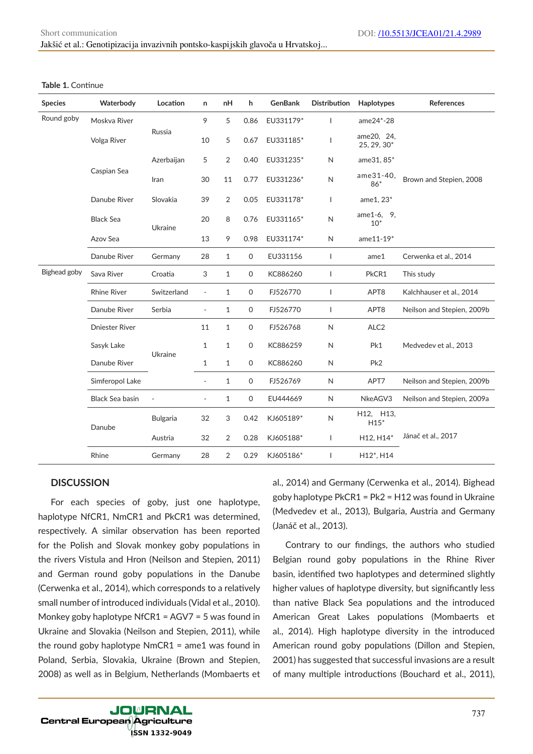| <b>Species</b> | Waterbody             | Location        | n                        | nH           | h            | <b>GenBank</b> | <b>Distribution</b> | Haplotypes                | References                 |
|----------------|-----------------------|-----------------|--------------------------|--------------|--------------|----------------|---------------------|---------------------------|----------------------------|
| Round goby     | Moskva River          | Russia          | 9                        | 5            | 0.86         | EU331179*      | $\mathsf{I}$        | ame24*-28                 |                            |
|                | Volga River           |                 | 10                       | 5            | 0.67         | EU331185*      | $\mathsf{I}$        | ame20, 24,<br>25, 29, 30* |                            |
|                | Caspian Sea           | Azerbaijan      | 5                        | 2            | 0.40         | EU331235*      | N                   | ame31, 85*                |                            |
|                |                       | Iran            | 30                       | 11           | 0.77         | EU331236*      | $\mathsf{N}$        | ame31-40,<br>$86*$        | Brown and Stepien, 2008    |
|                | Danube River          | Slovakia        | 39                       | 2            | 0.05         | EU331178*      | T                   | ame1, 23*                 |                            |
|                | <b>Black Sea</b>      | Ukraine         | 20                       | 8            | 0.76         | EU331165*      | $\mathsf{N}$        | ame1-6, 9,<br>$10*$       |                            |
|                | Azov Sea              |                 | 13                       | 9            | 0.98         | EU331174*      | N                   | ame11-19*                 |                            |
|                | Danube River          | Germany         | 28                       | $\mathbf{1}$ | 0            | EU331156       | $\mathbf{I}$        | ame1                      | Cerwenka et al., 2014      |
| Bighead goby   | Sava River            | Croatia         | 3                        | $\mathbf{1}$ | 0            | KC886260       | $\mathbf{I}$        | PkCR1                     | This study                 |
|                | <b>Rhine River</b>    | Switzerland     | $\overline{\phantom{a}}$ | $\mathbf{1}$ | $\mathsf O$  | FJ526770       | $\mathbf{I}$        | APT8                      | Kalchhauser et al., 2014   |
|                | Danube River          | Serbia          | $\overline{\phantom{0}}$ | $\mathbf{1}$ | $\mathsf{O}$ | FJ526770       | $\mathbf{I}$        | APT <sub>8</sub>          | Neilson and Stepien, 2009b |
|                | <b>Dniester River</b> | Ukraine         | 11                       | $\mathbf{1}$ | 0            | FJ526768       | N                   | ALC <sub>2</sub>          |                            |
|                | Sasyk Lake            |                 | $\mathbf{1}$             | $\mathbf{1}$ | 0            | KC886259       | $\mathsf{N}$        | Pk1                       | Medvedev et al., 2013      |
|                | Danube River          |                 | $\mathbf{1}$             | $\mathbf{1}$ | $\mathsf{O}$ | KC886260       | $\mathsf{N}$        | Pk <sub>2</sub>           |                            |
|                | Simferopol Lake       |                 | $\overline{a}$           | $\mathbf{1}$ | $\mathsf{O}$ | FJ526769       | N                   | APT7                      | Neilson and Stepien, 2009b |
|                | Black Sea basin       |                 | $\overline{\phantom{0}}$ | 1            | 0            | EU444669       | N                   | NkeAGV3                   | Neilson and Stepien, 2009a |
|                | Danube                | <b>Bulgaria</b> | 32                       | 3            | 0.42         | KJ605189*      | N                   | H12, H13,<br>$H15*$       |                            |
|                |                       | Austria         | 32                       | 2            | 0.28         | KJ605188*      | T                   | H12, H14*                 | Jánač et al., 2017         |
|                | Rhine                 | Germany         | 28                       | 2            | 0.29         | KJ605186*      | $\mathsf{I}$        | H12*, H14                 |                            |

#### **Table 1.** Continue

### **DISCUSSION**

For each species of goby, just one haplotype, haplotype NfCR1, NmCR1 and PkCR1 was determined, respectively. A similar observation has been reported for the Polish and Slovak monkey goby populations in the rivers Vistula and Hron (Neilson and Stepien, 2011) and German round goby populations in the Danube (Cerwenka et al., 2014), which corresponds to a relatively small number of introduced individuals (Vidal et al., 2010). Monkey goby haplotype NfCR1 = AGV7 = 5 was found in Ukraine and Slovakia (Neilson and Stepien, 2011), while the round goby haplotype  $NmCR1 =$  ame1 was found in Poland, Serbia, Slovakia, Ukraine (Brown and Stepien, 2008) as well as in Belgium, Netherlands (Mombaerts et al., 2014) and Germany (Cerwenka et al., 2014). Bighead goby haplotype PkCR1 = Pk2 = H12 was found in Ukraine (Medvedev et al., 2013), Bulgaria, Austria and Germany (Janáč et al., 2013).

Contrary to our findings, the authors who studied Belgian round goby populations in the Rhine River basin, identified two haplotypes and determined slightly higher values of haplotype diversity, but significantly less than native Black Sea populations and the introduced American Great Lakes populations (Mombaerts et al., 2014). High haplotype diversity in the introduced American round goby populations (Dillon and Stepien, 2001) has suggested that successful invasions are a result of many multiple introductions (Bouchard et al., 2011),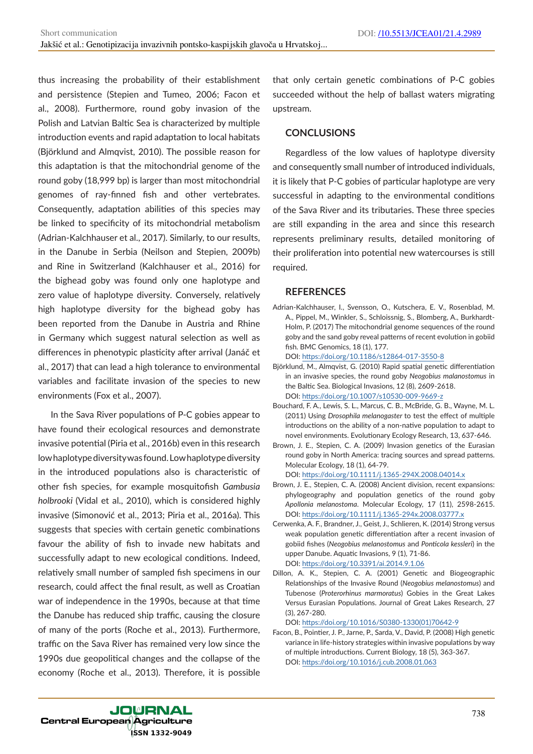thus increasing the probability of their establishment and persistence (Stepien and Tumeo, 2006; Facon et al., 2008). Furthermore, round goby invasion of the Polish and Latvian Baltic Sea is characterized by multiple introduction events and rapid adaptation to local habitats (Björklund and Almqvist, 2010). The possible reason for this adaptation is that the mitochondrial genome of the round goby (18,999 bp) is larger than most mitochondrial genomes of ray-finned fish and other vertebrates. Consequently, adaptation abilities of this species may be linked to specificity of its mitochondrial metabolism (Adrian-Kalchhauser et al., 2017). Similarly, to our results, in the Danube in Serbia (Neilson and Stepien, 2009b) and Rine in Switzerland (Kalchhauser et al., 2016) for the bighead goby was found only one haplotype and zero value of haplotype diversity. Conversely, relatively high haplotype diversity for the bighead goby has been reported from the Danube in Austria and Rhine in Germany which suggest natural selection as well as differences in phenotypic plasticity after arrival (Janáč et al., 2017) that can lead a high tolerance to environmental variables and facilitate invasion of the species to new environments (Fox et al., 2007).

In the Sava River populations of P-C gobies appear to have found their ecological resources and demonstrate invasive potential (Piria et al., 2016b) even in this research low haplotype diversity was found. Low haplotype diversity in the introduced populations also is characteristic of other fish species, for example mosquitofish *Gambusia holbrooki* (Vidal et al., 2010), which is considered highly invasive (Simonović et al., 2013; Piria et al., 2016a). This suggests that species with certain genetic combinations favour the ability of fish to invade new habitats and successfully adapt to new ecological conditions. Indeed, relatively small number of sampled fish specimens in our research, could affect the final result, as well as Croatian war of independence in the 1990s, because at that time the Danube has reduced ship traffic, causing the closure of many of the ports (Roche et al., 2013). Furthermore, traffic on the Sava River has remained very low since the 1990s due geopolitical changes and the collapse of the economy (Roche et al., 2013). Therefore, it is possible

that only certain genetic combinations of P-C gobies succeeded without the help of ballast waters migrating upstream.

## **CONCLUSIONS**

Regardless of the low values of haplotype diversity and consequently small number of introduced individuals, it is likely that P-C gobies of particular haplotype are very successful in adapting to the environmental conditions of the Sava River and its tributaries. These three species are still expanding in the area and since this research represents preliminary results, detailed monitoring of their proliferation into potential new watercourses is still required.

## **REFERENCES**

Adrian-Kalchhauser, I., Svensson, O., Kutschera, E. V., Rosenblad, M. A., Pippel, M., Winkler, S., Schloissnig, S., Blomberg, A., Burkhardt-Holm, P. (2017) The mitochondrial genome sequences of the round goby and the sand goby reveal patterns of recent evolution in gobiid fish. BMC Genomics, 18 (1), 177.

DOI: https://doi.org/10.1186/s12864-017-3550-8

- Björklund, M., Almqvist, G. (2010) Rapid spatial genetic differentiation in an invasive species, the round goby *Neogobius malanostomus* in the Baltic Sea. Biological Invasions, 12 (8), 2609-2618. DOI: https://doi.org/10.1007/s10530-009-9669-z
- Bouchard, F. A., Lewis, S. L., Marcus, C. B., McBride, G. B., Wayne, M. L. (2011) Using *Drosophila melanogaster* to test the effect of multiple introductions on the ability of a non-native population to adapt to novel environments. Evolutionary Ecology Research, 13, 637-646.
- Brown, J. E., Stepien, C. A. (2009) Invasion genetics of the Eurasian round goby in North America: tracing sources and spread patterns. Molecular Ecology, 18 (1), 64-79. DOI: https://doi.org/10.1111/j.1365-294X.2008.04014.x
- Brown, J. E., Stepien, C. A. (2008) Ancient division, recent expansions: phylogeography and population genetics of the round goby *Apollonia melanostoma*. Molecular Ecology, 17 (11), 2598-2615. DOI: https://doi.org/10.1111/j.1365-294x.2008.03777.x
- Cerwenka, A. F., Brandner, J., Geist, J., Schlieren, K. (2014) Strong versus weak population genetic differentiation after a recent invasion of gobiid fishes (*Neogobius melanostomus* and *Ponticola kessleri*) in the upper Danube. Aquatic Invasions, 9 (1), 71-86. DOI: https://doi.org/10.3391/ai.2014.9.1.06
- Dillon, A. K., Stepien, C. A. (2001) Genetic and Biogeographic Relationships of the Invasive Round (*Neogobius melanostomus*) and Tubenose (*Proterorhinus marmoratus*) Gobies in the Great Lakes Versus Eurasian Populations. Journal of Great Lakes Research, 27 (3), 267-280.

DOI: https://doi.org/10.1016/S0380-1330(01)70642-9

Facon, B., Pointier, J. P., Jarne, P., Sarda, V., David, P. (2008) High genetic variance in life-history strategies within invasive populations by way of multiple introductions. Current Biology, 18 (5), 363-367. DOI: https://doi.org/10.1016/j.cub.2008.01.063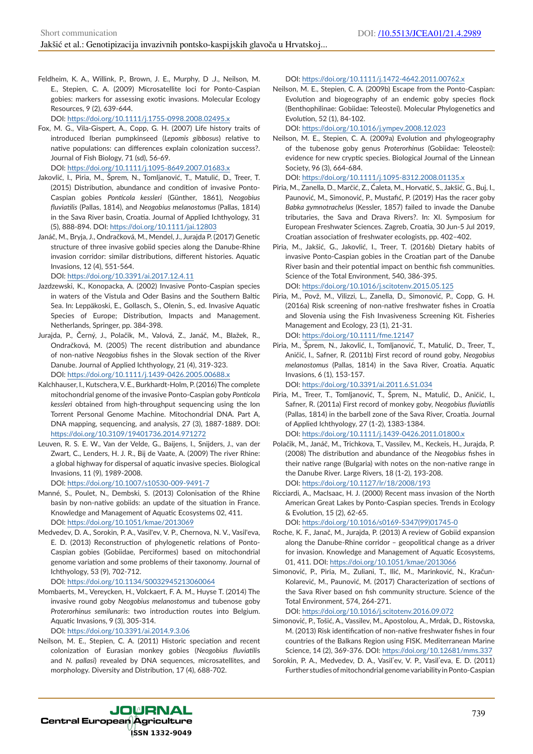Feldheim, K. A., Willink, P., Brown, J. E., Murphy, D .J., Neilson, M. E., Stepien, C. A. (2009) Microsatellite loci for Ponto-Caspian gobies: markers for assessing exotic invasions. Molecular Ecology Resources, 9 (2), 639-644.

DOI: https://doi.org/10.1111/j.1755-0998.2008.02495.x

Fox, M. G., Vila-Gispert, A., Copp, G. H. (2007) Life history traits of introduced Iberian pumpkinseed (*Lepomis gibbosus*) relative to native populations: can differences explain colonization success?. Journal of Fish Biology, 71 (sd), 56-69.

DOI: https://doi.org/10.1111/j.1095-8649.2007.01683.x

- Jakovlić, I., Piria, M., Šprem, N., Tomljanović, T., Matulić, D., Treer, T. (2015) Distribution, abundance and condition of invasive Ponto-Caspian gobies *Ponticola kessleri* (Günther, 1861), *Neogobius fluviatilis* (Pallas, 1814), and *Neogobius melanostomus* (Pallas, 1814) in the Sava River basin, Croatia. Journal of Applied Ichthyology, 31 (5), 888-894. DOI: https://doi.org/10.1111/jai.12803
- Janáč, M., Bryja, J., Ondračková, M., Mendel, J., Jurajda P. (2017) Genetic structure of three invasive gobiid species along the Danube-Rhine invasion corridor: similar distributions, different histories. Aquatic Invasions, 12 (4), 551-564.

DOI: https://doi.org/10.3391/ai.2017.12.4.11

- Jazdzewski, K., Konopacka, A. (2002) Invasive Ponto-Caspian species in waters of the Vistula and Oder Basins and the Southern Baltic Sea. In: Leppäkoski, E., Gollasch, S., Olenin, S., ed. Invasive Aquatic Species of Europe; Distribution, Impacts and Management. Netherlands, Springer, pp. 384-398.
- Jurajda, P., Černý, J., Polačik, M., Valová, Z., Janáč, M., Blažek, R., Ondračková, M. (2005) The recent distribution and abundance of non-native *Neogobius* fishes in the Slovak section of the River Danube. Journal of Applied Ichthyology, 21 (4), 319-323. DOI: https://doi.org/10.1111/j.1439-0426.2005.00688.x
- Kalchhauser, I., Kutschera, V. E., Burkhardt-Holm, P. (2016) The complete mitochondrial genome of the invasive Ponto-Caspian goby *Ponticola kessleri* obtained from high-throughput sequencing using the Ion Torrent Personal Genome Machine. Mitochondrial DNA. Part A, DNA mapping, sequencing, and analysis, 27 (3), 1887-1889. DOI: https://doi.org/10.3109/19401736.2014.971272
- Leuven, R. S. E. W., Van der Velde, G., Baijens, I., Snijders, J., van der Zwart, C., Lenders, H. J. R., Bij de Vaate, A. (2009) The river Rhine: a global highway for dispersal of aquatic invasive species. Biological Invasions, 11 (9), 1989-2008.

DOI: https://doi.org/10.1007/s10530-009-9491-7

- Manné, S., Poulet, N., Dembski, S. (2013) Colonisation of the Rhine basin by non-native gobiids: an update of the situation in France. Knowledge and Management of Aquatic Ecosystems 02, 411. DOI: https://doi.org/10.1051/kmae/2013069
- Medvedev, D. A., Sorokin, P. A., Vasil'ev, V. P., Chernova, N. V., Vasil'eva, E. D. (2013) Reconstruction of phylogenetic relations of Ponto-Caspian gobies (Gobiidae, Perciformes) based on mitochondrial genome variation and some problems of their taxonomy. Journal of Ichthyology, 53 (9), 702-712.

DOI: https://doi.org/10.1134/S0032945213060064

Mombaerts, M., Vereycken, H., Volckaert, F. A. M., Huyse T. (2014) The invasive round goby *Neogobius melanostomus* and tubenose goby *Proterorhinus semilunaris*: two introduction routes into Belgium. Aquatic Invasions, 9 (3), 305-314.

DOI: https://doi.org/10.3391/ai.2014.9.3.06

Neilson, M. E., Stepien, C. A. (2011) Historic speciation and recent colonization of Eurasian monkey gobies (*Neogobius fluviatili*s and *N. pallasi*) revealed by DNA sequences, microsatellites, and morphology. Diversity and Distribution, 17 (4), 688-702.

DOI: https://doi.org/10.1111/j.1472-4642.2011.00762.x

Neilson, M. E., Stepien, C. A. (2009b) Escape from the Ponto-Caspian: Evolution and biogeography of an endemic goby species flock (Benthophilinae: Gobiidae: Teleostei). Molecular Phylogenetics and Evolution, 52 (1), 84-102.

DOI: https://doi.org/10.1016/j.ympev.2008.12.023

Neilson, M. E., Stepien, C. A. (2009a) Evolution and phylogeography of the tubenose goby genus *Proterorhinus* (Gobiidae: Teleostei): evidence for new cryptic species. Biological Journal of the Linnean Society, 96 (3), 664-684.

DOI: https://doi.org/10.1111/j.1095-8312.2008.01135.x

- Piria, M., Zanella, D., Marčić, Z., Ćaleta, M., Horvatić, S., Jakšić, G., Buj, I., Paunović, M., Simonović, P., Mustafić, P. (2019) Has the racer goby *Babka gymnotrachelus* (Kessler, 1857) failed to invade the Danube tributaries, the Sava and Drava Rivers?. In: XI. Symposium for European Freshwater Sciences. Zagreb, Croatia, 30 Jun-5 Jul 2019, Croatian association of freshwater ecologists, pp. 402–402.
- Piria, M., Jakšić, G., Jakovlić, I., Treer, T. (2016b) Dietary habits of invasive Ponto-Caspian gobies in the Croatian part of the Danube River basin and their potential impact on benthic fish communities. Science of the Total Environment, 540, 386-395. DOI: https://doi.org/10.1016/j.scitotenv.2015.05.125
- Piria, M., Povž, M., Vilizzi, L., Zanella, D., Simonović, P., Copp, G. H. (2016a) Risk screening of non-native freshwater fishes in Croatia and Slovenia using the Fish Invasiveness Screening Kit. Fisheries Management and Ecology, 23 (1), 21-31. DOI: https://doi.org/10.1111/fme.12147
- Piria, M., Šprem, N., Jakovlić, I., Tomljanović, T., Matulić, D., Treer, T., Aničić, I., Safner, R. (2011b) First record of round goby, *Neogobius melanostomus* (Pallas, 1814) in the Sava River, Croatia. Aquatic Invasions, 6 (1), 153-157.

DOI: https://doi.org/10.3391/ai.2011.6.S1.034

Piria, M., Treer, T., Tomljanović, T., Šprem, N., Matulić, D., Aničić, I., Safner, R. (2011a) First record of monkey goby, *Neogobius fluviatilis*  (Pallas, 1814) in the barbell zone of the Sava River, Croatia. Journal of Applied Ichthyology, 27 (1-2), 1383-1384.

DOI: https://doi.org/10.1111/j.1439-0426.2011.01800.x

- Polačik, M., Janáč, M., Trichkova, T., Vassilev, M., Keckeis, H., Jurajda, P. (2008) The distribution and abundance of the *Neogobius* fishes in their native range (Bulgaria) with notes on the non-native range in the Danube River. Large Rivers, 18 (1-2), 193-208. DOI: https://doi.org/10.1127/lr/18/2008/193
- Ricciardi, A., MacIsaac, H. J. (2000) Recent mass invasion of the North American Great Lakes by Ponto-Caspian species. Trends in Ecology & Evolution, 15 (2), 62-65.

DOI: https://doi.org/10.1016/s0169-5347(99)01745-0

- Roche, K. F., Janač, M., Jurajda, P. (2013) A review of Gobiid expansion along the Danube-Rhine corridor – geopolitical change as a driver for invasion. Knowledge and Management of Aquatic Ecosystems, 01, 411. DOI: https://doi.org/10.1051/kmae/2013066
- Simonović, P., Piria, M., Zuliani, T., Ilić, M., Marinković, N., Kračun-Kolarević, M., Paunović, M. (2017) Characterization of sections of the Sava River based on fish community structure. Science of the Total Environment, 574, 264-271.

DOI: https://doi.org/10.1016/j.scitotenv.2016.09.072

- Simonović, P., Tošić, A., Vassilev, M., Apostolou, A., Mrdak, D., Ristovska, M. (2013) Risk identification of non-native freshwater fishes in four countries of the Balkans Region using FISK. Mediterranean Marine Science, 14 (2), 369-376. DOI: https://doi.org/10.12681/mms.337
- Sorokin, P. A., Medvedev, D. A., Vasilˈev, V. P., Vasilˈeva, E. D. (2011) Further studies of mitochondrial genome variability in Ponto-Caspian

**JOURNAL** Central European Agriculture **ISSN 1332-9049**